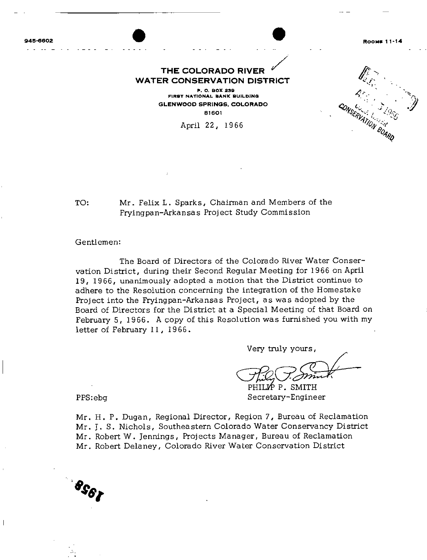945-6602

ROOMS 11-14

f'

y

 $\frac{1}{4}$  $c_{\textit{O}_{\textit{NSR}}}, \dots, \dots, \textit{O}_{\textit{N}}$ 

VATION BOARD

## THE COLORADO RIVER THE COLORADO RIVER<br>
WATER CONSERVATION DISTRICT<br>
WATER CONSERVATION DISTRICT

P. O. BOX 238 FIRST NATIONAL BANK BUILDING GLENWOOO SPRINGS. COLORAOO 81601

April 22, 1966

TO: Mr. Felix L. Sparks, Chairman and Members of the Fryingpan- Arkansas Project Study Commission

## Gentlemen:

The Board of Directors of the Colorado River Water Conservation District, during their Second Regular Meeting for 1966 on April 19, 1966, unanimously adopted <sup>a</sup> motion that the District continue to adhere to the Resolution concerning the integration of the Homestake Project into the Fryingpan-Arkansas Project, as was adopted by the Board of Directors for the District at <sup>a</sup> Special Meeting of that Board on February 5, 1966. <sup>A</sup> copy of this Resolution was furnished you with my letter of February 11, 1966.

Very truly yours,

Very truly yours,<br>This Comment<br>PHILIP P. SMITH<br>Secretary-Engineer

PPS: ebg

Mr. H. P. Dugan, Regional Director, Region 7, Bureau of Reclamation Mr. J. S. Nichols, Southeastern Colorado Water Conservancy District Mr. Robert W. Jennings, Projects Manager, Bureau of Reclamation Mr. Robert Delaney, Colorado River Water Conservation District

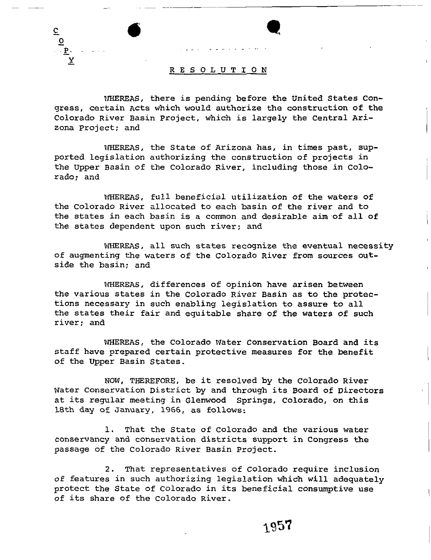

C  $\tilde{\mathbf{r}}$ P-.<br>⊻

rnEREAS, there is pending before the United States Congress, certain Acts which would authorize the construction of the Colorado River Basin project, which is largely the Central Arizona Project; and

WHEREAS, the State of Arizona has, in times past, supported legislation authorizing the construction of projects in the Upper Basin of the Colorado River, including those in Colorado; and

WHEREAS, full beneficial utilization of the waters of the Colorado River allocated to each basin of the river and to the states in each basin is <sup>a</sup> common and desirable aim of all of the states dependent upon such river; and

WHEREAS, all such states recognize the eventual necessity of augmenting the waters of the Colorado River from sources outside the basin; and

IVHEREAS, differences of opinion have arisen between the various states in the Colorado River Basin as to the protections necessary in such enabling legislation to assure to all the states their fair and equitable share of the waters of such river; and

WHEREAS, the Colorado Water Conservation Board and its staff have prepared certain protective measures for the benefit of the Upper Basin States.

NOW, THEREFORE, be it resolved by the Colorado River Water Conservation District by and through its Board of Directors at its regular meeting in Glenwood springs, Colorado, on this 18th day of January, 1966, as follows:

1. That the State of Colorado and the various water conservancy and conservation districts support in Congress the passage of the Colorado River Basin Project.

2. That representatives of Colorado require inclusion of features in such authorizing legislation which will adequately protect the State of Colorado in its beneficial consumptive use of its share of the Colorado River.